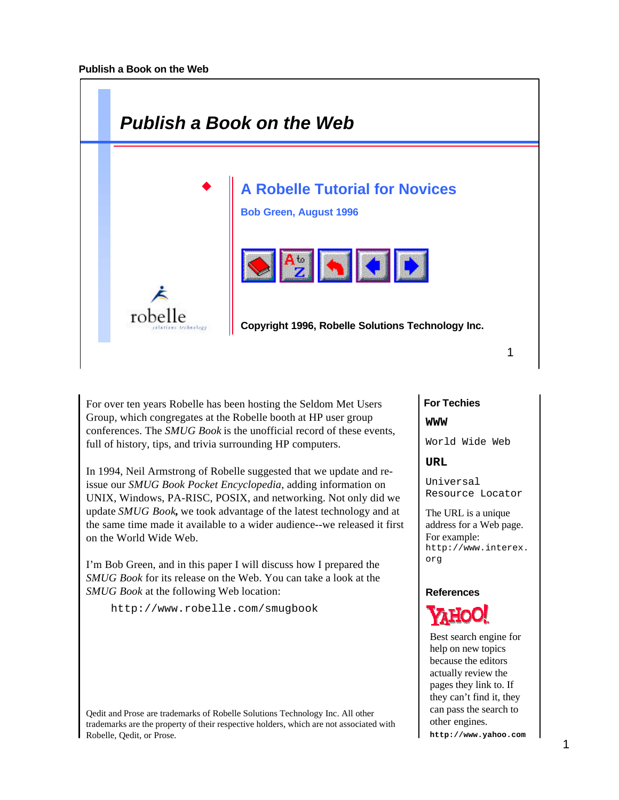

For over ten years Robelle has been hosting the Seldom Met Users Group, which congregates at the Robelle booth at HP user group conferences. The *SMUG Book* is the unofficial record of these events, full of history, tips, and trivia surrounding HP computers.

In 1994, Neil Armstrong of Robelle suggested that we update and reissue our *SMUG Book Pocket Encyclopedia*, adding information on UNIX, Windows, PA-RISC, POSIX, and networking. Not only did we update *SMUG Book***,** we took advantage of the latest technology and at the same time made it available to a wider audience--we released it first on the World Wide Web.

I'm Bob Green, and in this paper I will discuss how I prepared the *SMUG Book* for its release on the Web. You can take a look at the *SMUG Book* at the following Web location:

http://www.robelle.com/smugbook

Qedit and Prose are trademarks of Robelle Solutions Technology Inc. All other trademarks are the property of their respective holders, which are not associated with Robelle, Qedit, or Prose.

# **For Techies**

**WWW**

World Wide Web

## **URL**

Universal Resource Locator

The URL is a unique address for a Web page. For example: http://www.interex. org

## **References**



Best search engine for help on new topics because the editors actually review the pages they link to. If they can't find it, they can pass the search to other engines.

**http://www.yahoo.com**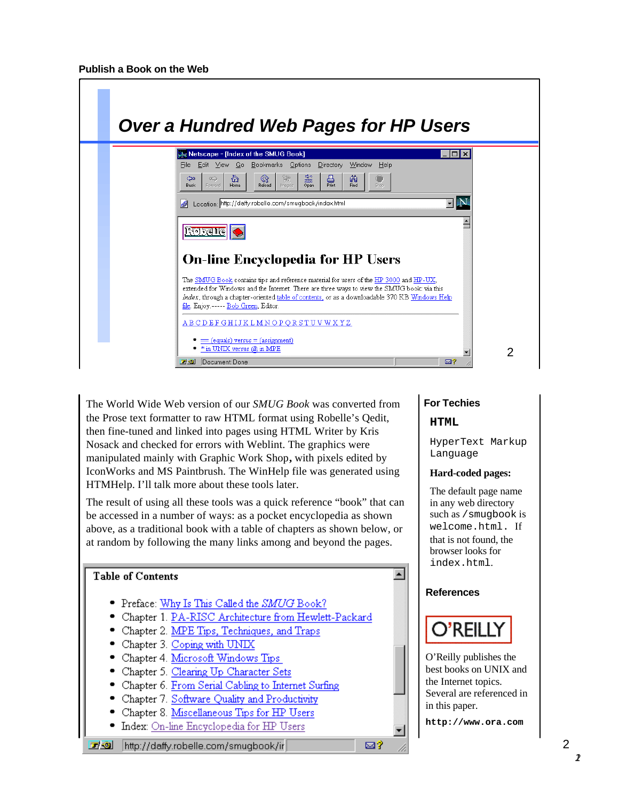

The World Wide Web version of our *SMUG Book* was converted from the Prose text formatter to raw HTML format using Robelle's Qedit, then fine-tuned and linked into pages using HTML Writer by Kris Nosack and checked for errors with Weblint. The graphics were manipulated mainly with Graphic Work Shop**,** with pixels edited by IconWorks and MS Paintbrush. The WinHelp file was generated using HTMHelp. I'll talk more about these tools later.

The result of using all these tools was a quick reference "book" that can be accessed in a number of ways: as a pocket encyclopedia as shown above, as a traditional book with a table of chapters as shown below, or at random by following the many links among and beyond the pages.



## **For Techies**

#### **HTML**

HyperText Markup Language

#### **Hard-coded pages:**

The default page name in any web directory such as /smugbook is welcome.html. If that is not found, the browser looks for index.html.

#### **References**

# O'REILL

O'Reilly publishes the best books on UNIX and the Internet topics. Several are referenced in in this paper.

**http://www.ora.com**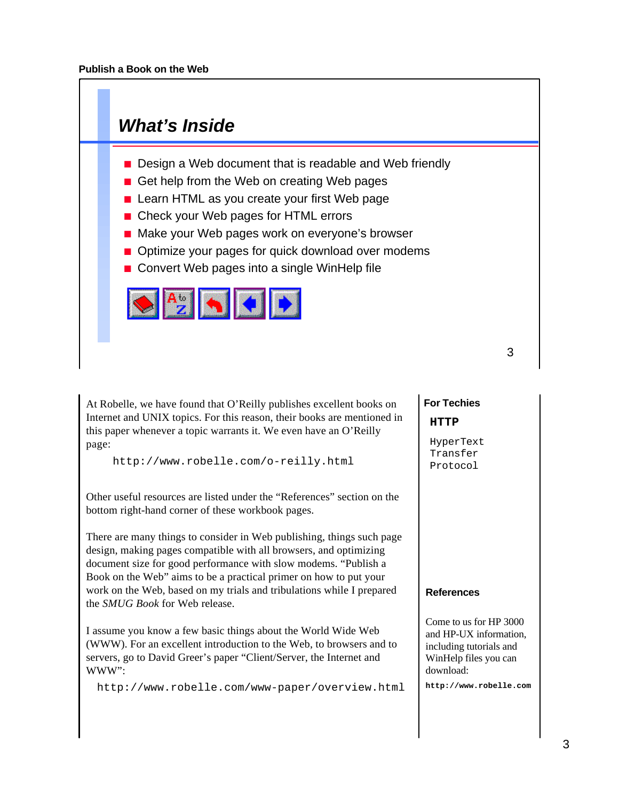

At Robelle, we have found that O'Reilly publishes excellent books on Internet and UNIX topics. For this reason, their books are mentioned in this paper whenever a topic warrants it. We even have an O'Reilly page:

http://www.robelle.com/o-reilly.html

Other useful resources are listed under the "References" section on the bottom right-hand corner of these workbook pages.

There are many things to consider in Web publishing, things such page design, making pages compatible with all browsers, and optimizing document size for good performance with slow modems. "Publish a Book on the Web" aims to be a practical primer on how to put your work on the Web, based on my trials and tribulations while I prepared the *SMUG Book* for Web release.

I assume you know a few basic things about the World Wide Web (WWW). For an excellent introduction to the Web, to browsers and to servers, go to David Greer's paper "Client/Server, the Internet and WWW":

http://www.robelle.com/www-paper/overview.html

# **For Techies HTTP**

HyperText Transfer Protocol

#### **References**

Come to us for HP 3000 and HP-UX information, including tutorials and WinHelp files you can download:

**http://www.robelle.com**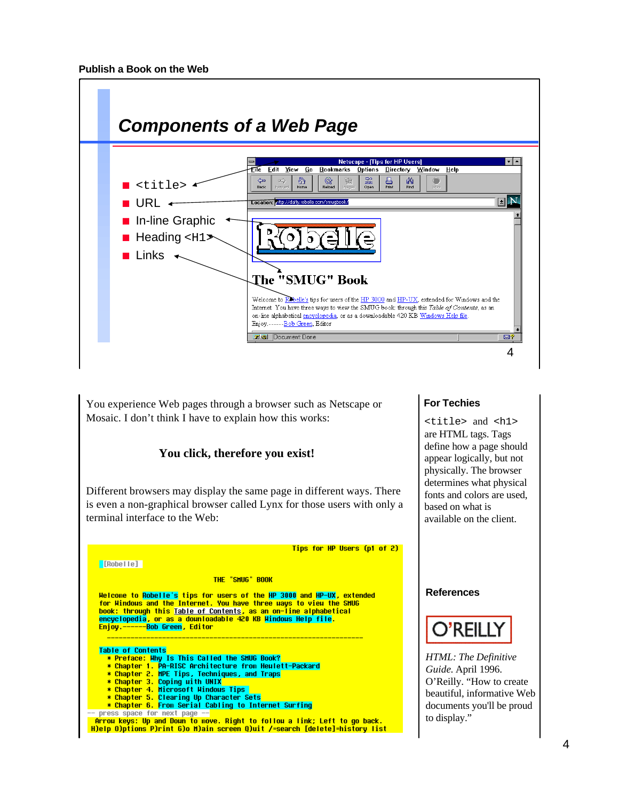

You experience Web pages through a browser such as Netscape or Mosaic. I don't think I have to explain how this works:

## **You click, therefore you exist!**

Different browsers may display the same page in different ways. There is even a non-graphical browser called Lynx for those users with only a terminal interface to the Web:

Tips for HP Users (p1 of 2)

#### **[Robelle]**

THE "SMUG" BOOK

Welcome to Robelle's tips for users of the HP 3000 and HP-UX, extended<br>for Windous and the Internet. You have three uays to view the SHUG book: through this Table of Contents, as an on-line alphabetical encyclopedia, or as a dounloadable 420 KB Mindows Help file.<br>Enjoy.------Bob Green, Editor Enjoy.

#### **Table of Contents**

- \* Preface: Hhy Is This Called the SHUG Book?<br>\* Preface: Hhy Is This Called the SHUG Book?<br>\* Chapter 1. PA-RISC Architecture from Heulett-Packard
- 
- \* Chapter 2. MPE Tips, Techniques, and Traps
- \* Chapter 3. Coping with UNIX
- \* Chapter 4. Microsoft Hindous Tips
- \* Chapter 5. Clearing Up Character Sets **\* Chapter 6. From Serial Cabling to Internet Surfing**<br>press space for next page --
- 

**Figure 1996** Figure 1, 1996 Inc., Product of the Right to follow a link; Left to go back.<br>H)elp O)ptions P)rint G)o H)ain screen Q)uit /=search [delete]=history list

#### **For Techies**

<title> and <h1> are HTML tags. Tags define how a page should appear logically, but not physically. The browser determines what physical fonts and colors are used, based on what is available on the client.

#### **References**



*HTML: The Definitive Guide.* April 1996. O'Reilly. "How to create beautiful, informative Web documents you'll be proud to display."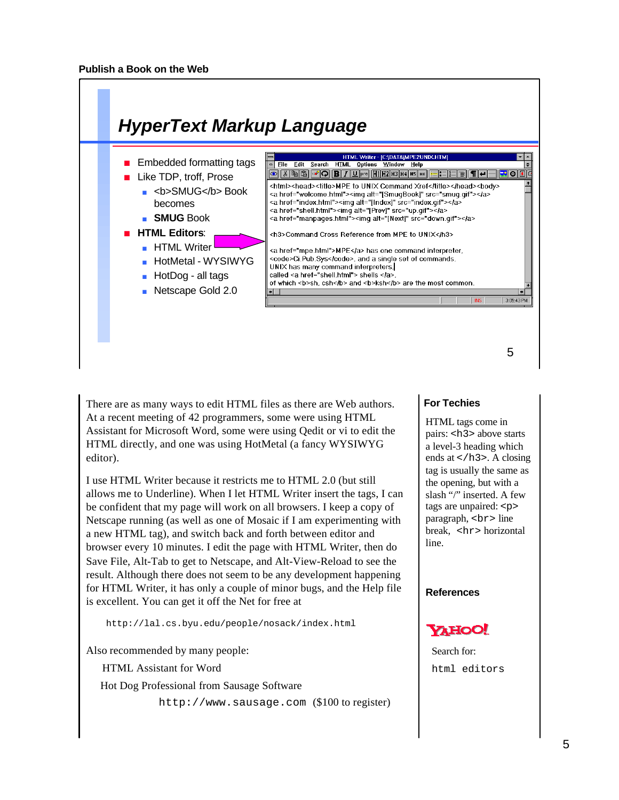

There are as many ways to edit HTML files as there are Web authors. At a recent meeting of 42 programmers, some were using HTML Assistant for Microsoft Word, some were using Qedit or vi to edit the HTML directly, and one was using HotMetal (a fancy WYSIWYG editor).

I use HTML Writer because it restricts me to HTML 2.0 (but still allows me to Underline). When I let HTML Writer insert the tags, I can be confident that my page will work on all browsers. I keep a copy of Netscape running (as well as one of Mosaic if I am experimenting with a new HTML tag), and switch back and forth between editor and browser every 10 minutes. I edit the page with HTML Writer, then do Save File, Alt-Tab to get to Netscape, and Alt-View-Reload to see the result. Although there does not seem to be any development happening for HTML Writer, it has only a couple of minor bugs, and the Help file is excellent. You can get it off the Net for free at

http://lal.cs.byu.edu/people/nosack/index.html

Also recommended by many people:

HTML Assistant for Word

Hot Dog Professional from Sausage Software

http://www.sausage.com (\$100 to register)

## **For Techies**

HTML tags come in pairs: <h3> above starts a level-3 heading which ends at  $\lt$ /h3>. A closing tag is usually the same as the opening, but with a slash "/" inserted. A few tags are unpaired: <p> paragraph,  $\langle$ br> line break, <hr> horizontal line.

#### **References**



Search for: html editors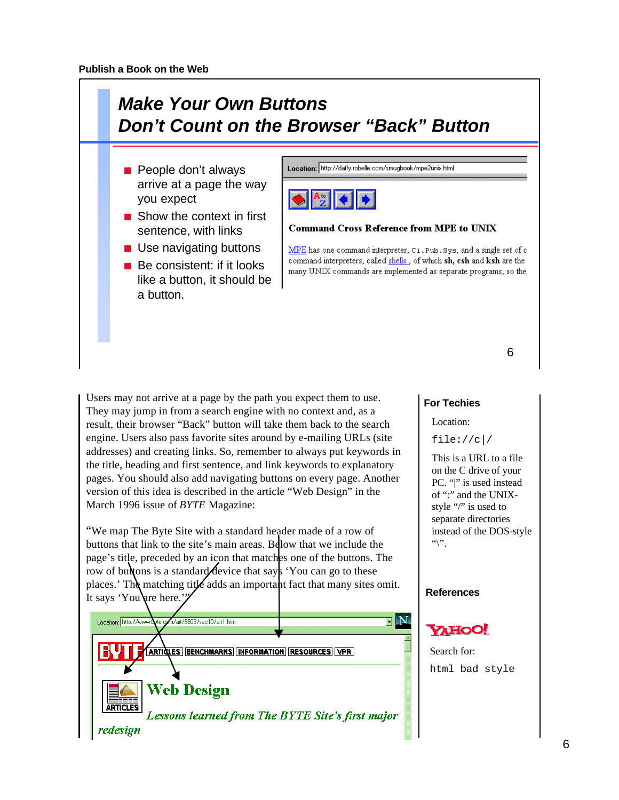

Users may not arrive at a page by the path you expect them to use. They may jump in from a search engine with no context and, as a result, their browser "Back" button will take them back to the search engine. Users also pass favorite sites around by e-mailing URLs (site addresses) and creating links. So, remember to always put keywords in the title, heading and first sentence, and link keywords to explanatory pages. You should also add navigating buttons on every page. Another version of this idea is described in the article "Web Design" in the March 1996 issue of *BYTE* Magazine:

"We map The Byte Site with a standard header made of a row of buttons that link to the site's main areas. Below that we include the page's title, preceded by an icon that matches one of the buttons. The row of buttons is a standard device that says 'You can go to these places.' The matching title adds an important fact that many sites omit. It says 'You'are here.'



#### **For Techies**

Location:

file://c|/

This is a URL to a file on the C drive of your PC. "|" is used instead of ":" and the UNIXstyle "/" is used to separate directories instead of the DOS-style  $``\n$ 

#### **References**



Search for: html bad style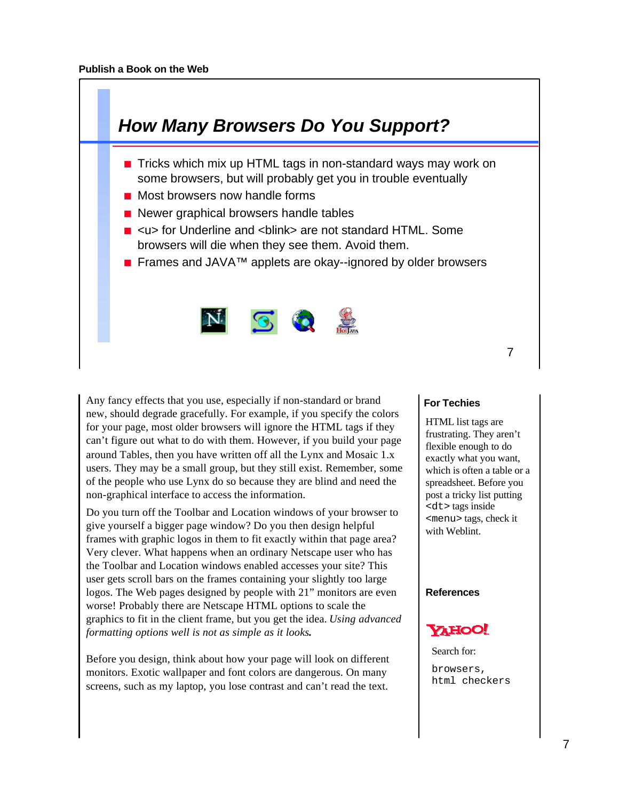

Any fancy effects that you use, especially if non-standard or brand new, should degrade gracefully. For example, if you specify the colors for your page, most older browsers will ignore the HTML tags if they can't figure out what to do with them. However, if you build your page around Tables, then you have written off all the Lynx and Mosaic 1.x users. They may be a small group, but they still exist. Remember, some of the people who use Lynx do so because they are blind and need the non-graphical interface to access the information.

Do you turn off the Toolbar and Location windows of your browser to give yourself a bigger page window? Do you then design helpful frames with graphic logos in them to fit exactly within that page area? Very clever. What happens when an ordinary Netscape user who has the Toolbar and Location windows enabled accesses your site? This user gets scroll bars on the frames containing your slightly too large logos. The Web pages designed by people with 21" monitors are even worse! Probably there are Netscape HTML options to scale the graphics to fit in the client frame, but you get the idea. *Using advanced formatting options well is not as simple as it looks***.**

Before you design, think about how your page will look on different monitors. Exotic wallpaper and font colors are dangerous. On many screens, such as my laptop, you lose contrast and can't read the text.

## **For Techies**

HTML list tags are frustrating. They aren't flexible enough to do exactly what you want, which is often a table or a spreadsheet. Before you post a tricky list putting <dt> tags inside <menu> tags, check it with Weblint.

#### **References**



Search for: browsers, html checkers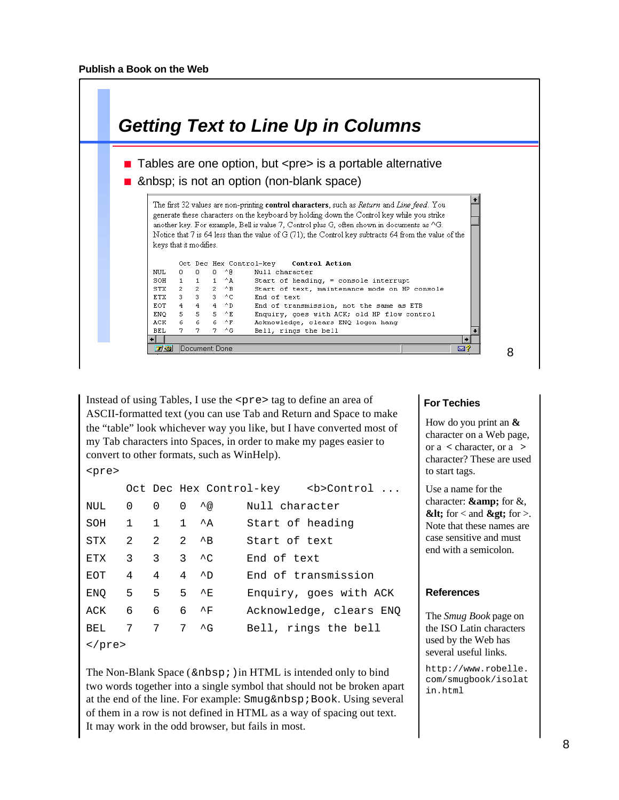|            |                              |          |                                                                                                                             | <b>Getting Text to Line Up in Columns</b>                                                                                                                                                                             |
|------------|------------------------------|----------|-----------------------------------------------------------------------------------------------------------------------------|-----------------------------------------------------------------------------------------------------------------------------------------------------------------------------------------------------------------------|
|            |                              |          |                                                                                                                             |                                                                                                                                                                                                                       |
|            |                              |          |                                                                                                                             | ■ Tables are one option, but <pre> is a portable alternative</pre>                                                                                                                                                    |
|            |                              |          |                                                                                                                             |                                                                                                                                                                                                                       |
|            |                              |          |                                                                                                                             | And & And Sp; is not an option (non-blank space)                                                                                                                                                                      |
|            |                              |          |                                                                                                                             |                                                                                                                                                                                                                       |
|            | keys that it modifies.       |          |                                                                                                                             | another key. For example, Bell is value 7, Control plus G, often shown in documents as ^G.<br>Notice that 7 is 64 less than the value of G (71); the Control key subtracts 64 from the value of the<br>Control Action |
| NHT.       | $\mathbf{0}$                 | $\Omega$ | O ^R                                                                                                                        | Oct Dec Hex Control-kev<br>Null character                                                                                                                                                                             |
|            | SOH                          |          | $1 \quad 1 \quad 1 \quad \Lambda$                                                                                           | Start of heading, = console interrupt                                                                                                                                                                                 |
|            | STX                          |          | $2 \t2 \t2 \tAB$                                                                                                            | Start of text, maintenance mode on HP console                                                                                                                                                                         |
|            | <b>ETX</b>                   |          | $3 \t3 \t3 \t4 C$                                                                                                           | End of text                                                                                                                                                                                                           |
|            | EOT $4$ $4$ $4$ $4$ $\sim$ D |          |                                                                                                                             | End of transmission, not the same as ETB                                                                                                                                                                              |
|            | ENO                          |          | $\begin{array}{ccccccccc}5 & & 5 & & 5 & & ^{\wedge}\mathbf{E} & & \\6 & & 6 & & 6 & & ^{\wedge}\mathbf{F} & & \end{array}$ | Enquiry, goes with ACK; old HP flow control                                                                                                                                                                           |
| ACK.       |                              |          |                                                                                                                             | Acknowledge, clears ENQ logon hang                                                                                                                                                                                    |
| <b>BEL</b> | 7.                           |          | $7 - 4G$                                                                                                                    | Bell, rings the bell                                                                                                                                                                                                  |
|            |                              |          |                                                                                                                             |                                                                                                                                                                                                                       |
|            |                              |          |                                                                                                                             |                                                                                                                                                                                                                       |

Instead of using Tables, I use the <pre> tag to define an area of ASCII-formatted text (you can use Tab and Return and Space to make the "table" look whichever way you like, but I have converted most of my Tab characters into Spaces, in order to make my pages easier to convert to other formats, such as WinHelp).

```
<pre>
```

|                  |                                  |                         |                   |                  | Oct Dec Hex Control-key <b>Control </b> |
|------------------|----------------------------------|-------------------------|-------------------|------------------|-----------------------------------------|
| NUL 0 0          |                                  |                         | $0 \wedge \varpi$ | Null character   |                                         |
| SOH              |                                  | $1 \t1 \t\lambda$       |                   | Start of heading |                                         |
| STX              |                                  | 2 2 2 $^{4}$ B          |                   | Start of text    |                                         |
| ETX              |                                  | 3 3 3 $\sim$ 2          |                   | End of text      |                                         |
| EOT              | $4 \quad 4 \quad 4 \quad \sim D$ |                         |                   |                  | End of transmission                     |
| ENQ 5 5 5 ^E     |                                  |                         |                   |                  | Enquiry, goes with ACK                  |
| ACK              |                                  | 6 6                     | $6 \gamma$ F      |                  | Acknowledge, clears ENQ                 |
| BEL              |                                  | $7 \t 7 \t 7 \t \sim G$ |                   |                  | Bell, rings the bell                    |
| $2$ / nra $\sim$ |                                  |                         |                   |                  |                                         |

</pre>

The Non-Blank Space ( $\$ ; ) in HTML is intended only to bind two words together into a single symbol that should not be broken apart at the end of the line. For example: Smug Book. Using several of them in a row is not defined in HTML as a way of spacing out text. It may work in the odd browser, but fails in most.

#### **For Techies**

How do you print an **&** character on a Web page, or a **<** character, or a **>** character? These are used to start tags.

Use a name for the character:  $\&$ amp; for  $\&$ ,  $<$  **klt**; for  $<$  and  $<$  **gt**; for  $>$ . Note that these names are case sensitive and must end with a semicolon.

#### **References**

The *Smug Book* page on the ISO Latin characters used by the Web has several useful links.

http://www.robelle. com/smugbook/isolat in.html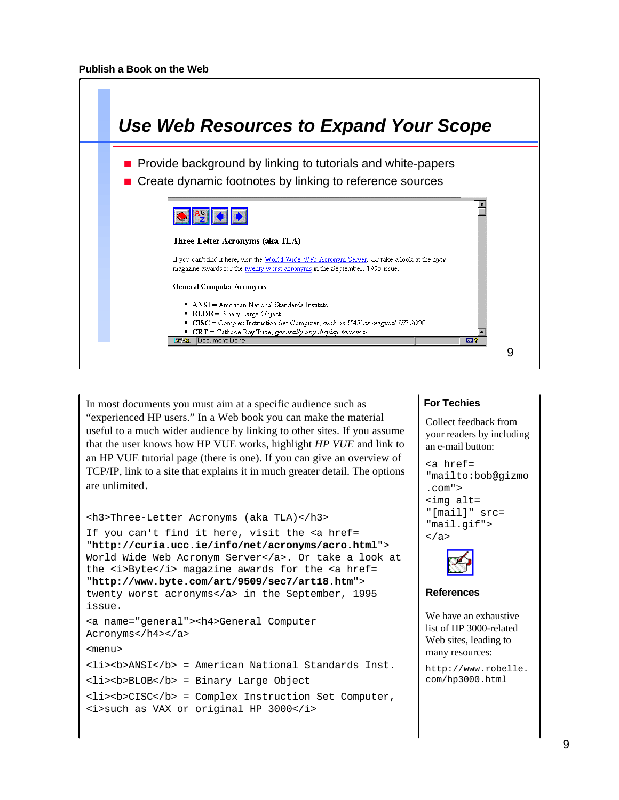| Use Web Resources to Expand Your Scope                                                                                                                                                                                                                                                                                                                                                                                                                                                                                                                                                                                                                                   |   |
|--------------------------------------------------------------------------------------------------------------------------------------------------------------------------------------------------------------------------------------------------------------------------------------------------------------------------------------------------------------------------------------------------------------------------------------------------------------------------------------------------------------------------------------------------------------------------------------------------------------------------------------------------------------------------|---|
| • Provide background by linking to tutorials and white-papers<br>Create dynamic footnotes by linking to reference sources                                                                                                                                                                                                                                                                                                                                                                                                                                                                                                                                                |   |
| $\left\  \bigotimes \left\  \begin{matrix} A_{\omega} \cr Z \end{matrix} \right\  \left\  \bigotimes \right\  \bigotimes$<br>Three-Letter Acronyms (aka TLA)<br>If you can't find it here, visit the World Wide Web Acronym Server. Or take a look at the Byte<br>magazine awards for the twenty worst acronyms in the September, 1995 issue.<br><b>General Computer Acronyms</b><br>• $ANSI = American National Standards Institute$<br>$\bullet$ BLOB = Binary Large Object<br>• $CISC = Complex Instruction Set Computer, such as VAX or original HP 3000$<br>• $CRT =$ Cathode Ray Tube, generally any display terminal<br>Document: Done<br>$\overline{1}$ ol<br>⊠? |   |
|                                                                                                                                                                                                                                                                                                                                                                                                                                                                                                                                                                                                                                                                          | 9 |

In most documents you must aim at a specific audience such as "experienced HP users." In a Web book you can make the material useful to a much wider audience by linking to other sites. If you assume that the user knows how HP VUE works, highlight *HP VUE* and link to an HP VUE tutorial page (there is one). If you can give an overview of TCP/IP, link to a site that explains it in much greater detail. The options are unlimited.

```
<h3>Three-Letter Acronyms (aka TLA)</h3>
If you can't find it here, visit the <a href=
"http://curia.ucc.ie/info/net/acronyms/acro.html">
World Wide Web Acronym Server</a>. Or take a look at
the <i>Byte</i> magazine awards for the <a href=
"http://www.byte.com/art/9509/sec7/art18.htm">
twenty worst acronyms</a> in the September, 1995
issue.
<a name="general"><h4>General Computer
Acronyms</h4></a>
```
<menu>

```
<li><b>ANSI</b> = American National Standards Inst.
<li><b>BLOB</b> = Binary Large Object
```

```
<li><b>CISC</b> = Complex Instruction Set Computer,
<i>such as VAX or original HP 3000</i>
```
#### **For Techies**

Collect feedback from your readers by including an e-mail button:

```
<a href=
"mailto:bob@gizmo
.com">
<img alt=
"[mail]" src=
"mail.gif">
</a>
```


#### **References**

We have an exhaustive list of HP 3000-related Web sites, leading to many resources:

```
http://www.robelle.
com/hp3000.html
```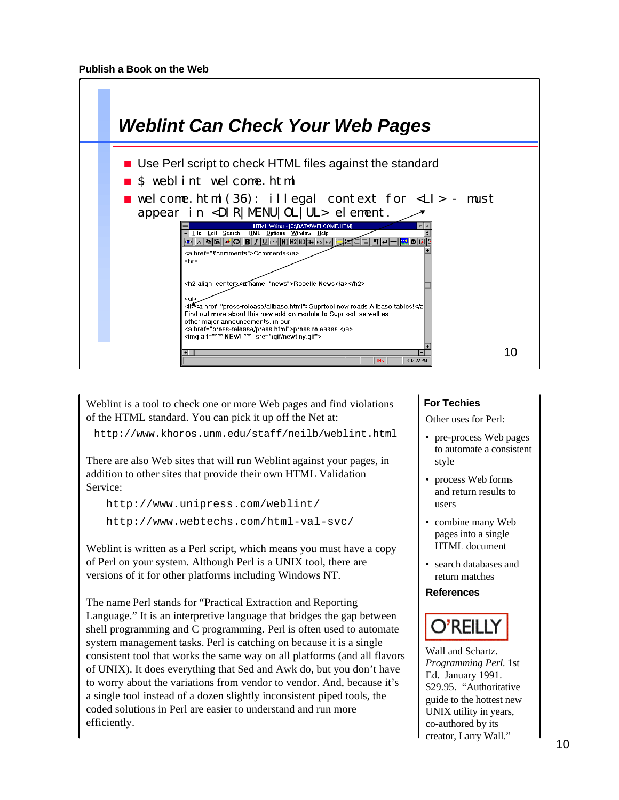

Weblint is a tool to check one or more Web pages and find violations of the HTML standard. You can pick it up off the Net at:

http://www.khoros.unm.edu/staff/neilb/weblint.html

There are also Web sites that will run Weblint against your pages, in addition to other sites that provide their own HTML Validation Service:

```
 http://www.unipress.com/weblint/
 http://www.webtechs.com/html-val-svc/
```
Weblint is written as a Perl script, which means you must have a copy of Perl on your system. Although Perl is a UNIX tool, there are versions of it for other platforms including Windows NT.

The name Perl stands for "Practical Extraction and Reporting Language." It is an interpretive language that bridges the gap between shell programming and C programming. Perl is often used to automate system management tasks. Perl is catching on because it is a single consistent tool that works the same way on all platforms (and all flavors of UNIX). It does everything that Sed and Awk do, but you don't have to worry about the variations from vendor to vendor. And, because it's a single tool instead of a dozen slightly inconsistent piped tools, the coded solutions in Perl are easier to understand and run more efficiently.

## **For Techies**

Other uses for Perl:

- pre-process Web pages to automate a consistent style
- process Web forms and return results to users
- combine many Web pages into a single HTML document
- search databases and return matches

#### **References**



Wall and Schartz. *Programming Perl.* 1st Ed. January 1991. \$29.95. "Authoritative guide to the hottest new UNIX utility in years, co-authored by its creator, Larry Wall."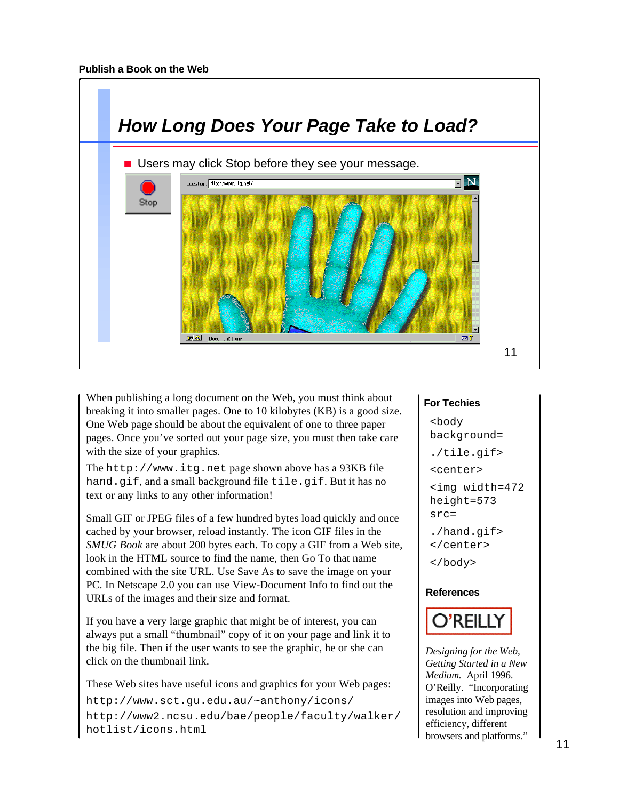

When publishing a long document on the Web, you must think about breaking it into smaller pages. One to 10 kilobytes (KB) is a good size. One Web page should be about the equivalent of one to three paper pages. Once you've sorted out your page size, you must then take care with the size of your graphics.

The http://www.itg.net page shown above has a 93KB file hand.gif, and a small background file tile.gif. But it has no text or any links to any other information!

Small GIF or JPEG files of a few hundred bytes load quickly and once cached by your browser, reload instantly. The icon GIF files in the *SMUG Book* are about 200 bytes each. To copy a GIF from a Web site, look in the HTML source to find the name, then Go To that name combined with the site URL. Use Save As to save the image on your PC. In Netscape 2.0 you can use View-Document Info to find out the URLs of the images and their size and format.

If you have a very large graphic that might be of interest, you can always put a small "thumbnail" copy of it on your page and link it to the big file. Then if the user wants to see the graphic, he or she can click on the thumbnail link.

These Web sites have useful icons and graphics for your Web pages:

http://www.sct.gu.edu.au/~anthony/icons/ http://www2.ncsu.edu/bae/people/faculty/walker/ hotlist/icons.html

#### **For Techies**

```
<body
background=
./tile.gif>
<center>
<img width=472
height=573
src=
./hand.gif>
</center>
</body>
```
#### **References**



*Designing for the Web, Getting Started in a New Medium.* April 1996. O'Reilly. "Incorporating images into Web pages, resolution and improving efficiency, different browsers and platforms."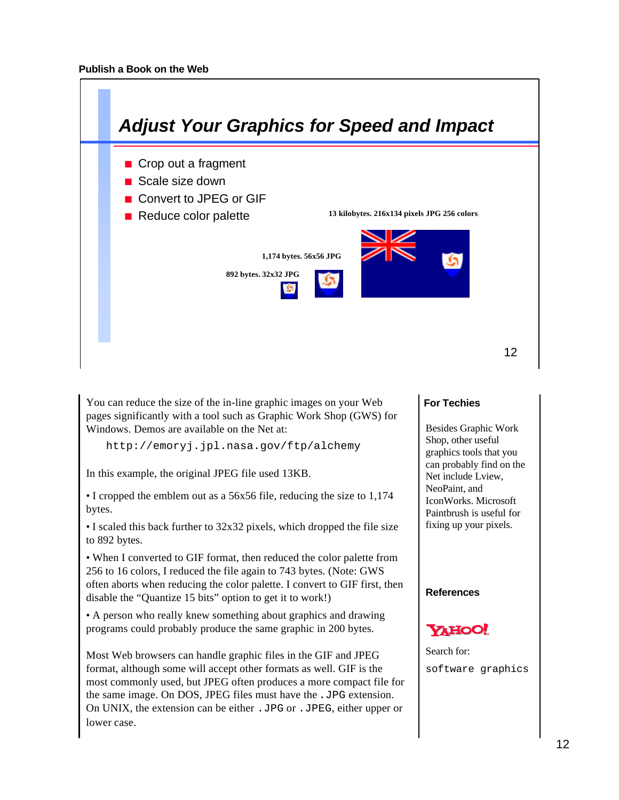

You can reduce the size of the in-line graphic images on your Web pages significantly with a tool such as Graphic Work Shop (GWS) for Windows. Demos are available on the Net at:

http://emoryj.jpl.nasa.gov/ftp/alchemy

In this example, the original JPEG file used 13KB.

• I cropped the emblem out as a 56x56 file, reducing the size to 1,174 bytes.

• I scaled this back further to 32x32 pixels, which dropped the file size to 892 bytes.

• When I converted to GIF format, then reduced the color palette from 256 to 16 colors, I reduced the file again to 743 bytes. (Note: GWS often aborts when reducing the color palette. I convert to GIF first, then disable the "Quantize 15 bits" option to get it to work!)

• A person who really knew something about graphics and drawing programs could probably produce the same graphic in 200 bytes.

Most Web browsers can handle graphic files in the GIF and JPEG format, although some will accept other formats as well. GIF is the most commonly used, but JPEG often produces a more compact file for the same image. On DOS, JPEG files must have the .JPG extension. On UNIX, the extension can be either .JPG or .JPEG, either upper or lower case.

#### **For Techies**

Besides Graphic Work Shop, other useful graphics tools that you can probably find on the Net include Lview, NeoPaint, and IconWorks. Microsoft Paintbrush is useful for fixing up your pixels.

**References**



Search for: software graphics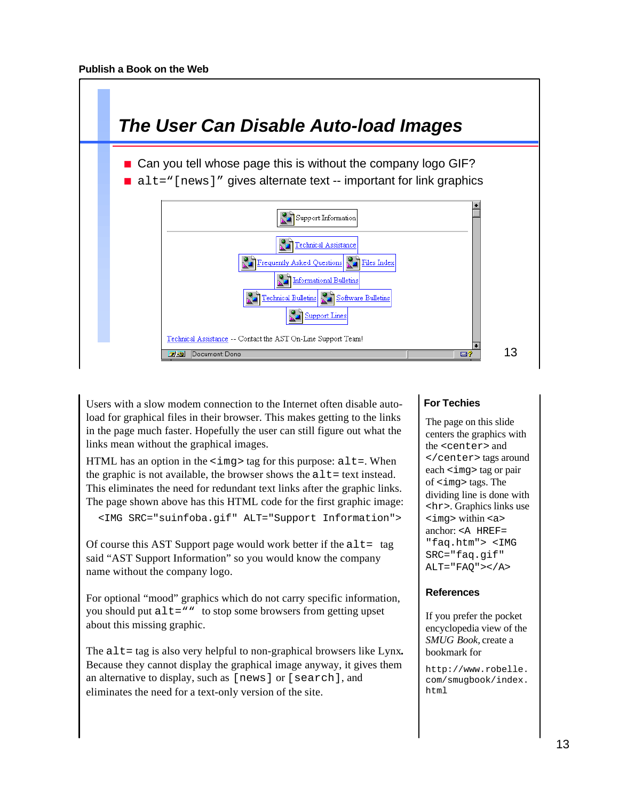

Users with a slow modem connection to the Internet often disable autoload for graphical files in their browser. This makes getting to the links in the page much faster. Hopefully the user can still figure out what the links mean without the graphical images.

HTML has an option in the  $\langle \text{img} \rangle$  tag for this purpose:  $\text{alt} =$ . When the graphic is not available, the browser shows the  $alt = text$  instead. This eliminates the need for redundant text links after the graphic links. The page shown above has this HTML code for the first graphic image:

```
 <IMG SRC="suinfoba.gif" ALT="Support Information">
```
Of course this AST Support page would work better if the  $alt = tag$ said "AST Support Information" so you would know the company name without the company logo.

For optional "mood" graphics which do not carry specific information, you should put alt="" to stop some browsers from getting upset about this missing graphic.

The alt = tag is also very helpful to non-graphical browsers like Lynx. Because they cannot display the graphical image anyway, it gives them an alternative to display, such as [news] or [search], and eliminates the need for a text-only version of the site.

## **For Techies**

The page on this slide centers the graphics with the <center> and </center> tags around each <img> tag or pair of <img> tags. The dividing line is done with <hr>. Graphics links use <img> within <a> anchor: <A HREF= "faq.htm"> <IMG SRC="faq.gif"  $ALT$ = " $FAQ$ "></ $A$ >

## **References**

If you prefer the pocket encyclopedia view of the *SMUG Book,* create a bookmark for

http://www.robelle. com/smugbook/index. html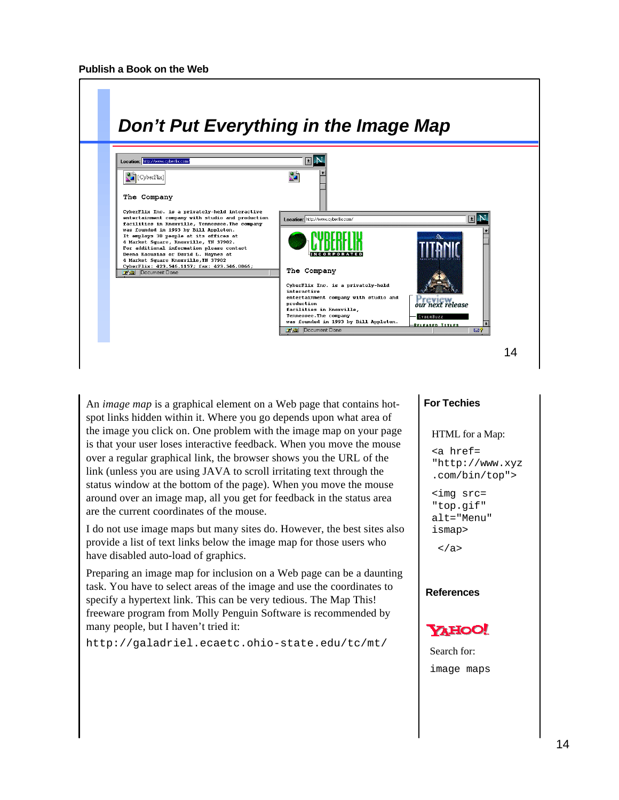

An *image map* is a graphical element on a Web page that contains hotspot links hidden within it. Where you go depends upon what area of the image you click on. One problem with the image map on your page is that your user loses interactive feedback. When you move the mouse over a regular graphical link, the browser shows you the URL of the link (unless you are using JAVA to scroll irritating text through the status window at the bottom of the page). When you move the mouse around over an image map, all you get for feedback in the status area are the current coordinates of the mouse.

I do not use image maps but many sites do. However, the best sites also provide a list of text links below the image map for those users who have disabled auto-load of graphics.

Preparing an image map for inclusion on a Web page can be a daunting task. You have to select areas of the image and use the coordinates to specify a hypertext link. This can be very tedious. The Map This! freeware program from Molly Penguin Software is recommended by many people, but I haven't tried it:

http://galadriel.ecaetc.ohio-state.edu/tc/mt/

#### **For Techies**

#### HTML for a Map:

<a href= "http://www.xyz .com/bin/top">

<img src= "top.gif" alt="Menu" ismap>

</a>

#### **References**



Search for: image maps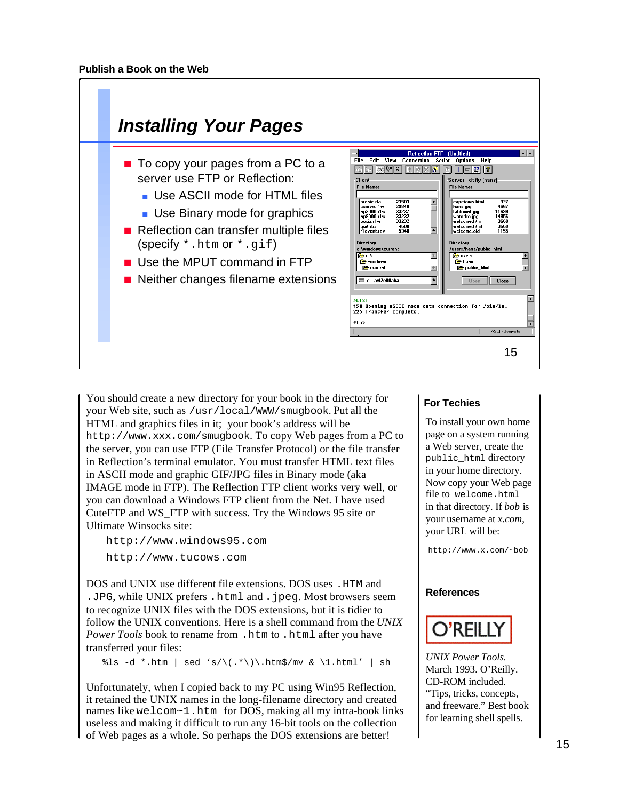

You should create a new directory for your book in the directory for your Web site, such as /usr/local/WWW/smugbook. Put all the HTML and graphics files in it; your book's address will be http://www.xxx.com/smugbook. To copy Web pages from a PC to the server, you can use FTP (File Transfer Protocol) or the file transfer in Reflection's terminal emulator. You must transfer HTML text files in ASCII mode and graphic GIF/JPG files in Binary mode (aka IMAGE mode in FTP). The Reflection FTP client works very well, or you can download a Windows FTP client from the Net. I have used CuteFTP and WS\_FTP with success. Try the Windows 95 site or Ultimate Winsocks site:

http://www.windows95.com

http://www.tucows.com

DOS and UNIX use different file extensions. DOS uses .HTM and .JPG, while UNIX prefers.html and .jpeg. Most browsers seem to recognize UNIX files with the DOS extensions, but it is tidier to follow the UNIX conventions. Here is a shell command from the *UNIX Power Tools* book to rename from .htm to .html after you have transferred your files:

 $\text{3ls } -d * .$ htm | sed 's/\(.\*\)\.htm\$/mv & \1.html' | sh

Unfortunately, when I copied back to my PC using Win95 Reflection, it retained the UNIX names in the long-filename directory and created names like welcom~1.htm for DOS, making all my intra-book links useless and making it difficult to run any 16-bit tools on the collection of Web pages as a whole. So perhaps the DOS extensions are better!

#### **For Techies**

To install your own home page on a system running a Web server, create the public\_html directory in your home directory. Now copy your Web page file to welcome.html in that directory. If *bob* is your username at *x.com*, your URL will be:

http://www.x.com/~bob

#### **References**



*UNIX Power Tools.* March 1993. O'Reilly. CD-ROM included. "Tips, tricks, concepts, and freeware." Best book for learning shell spells.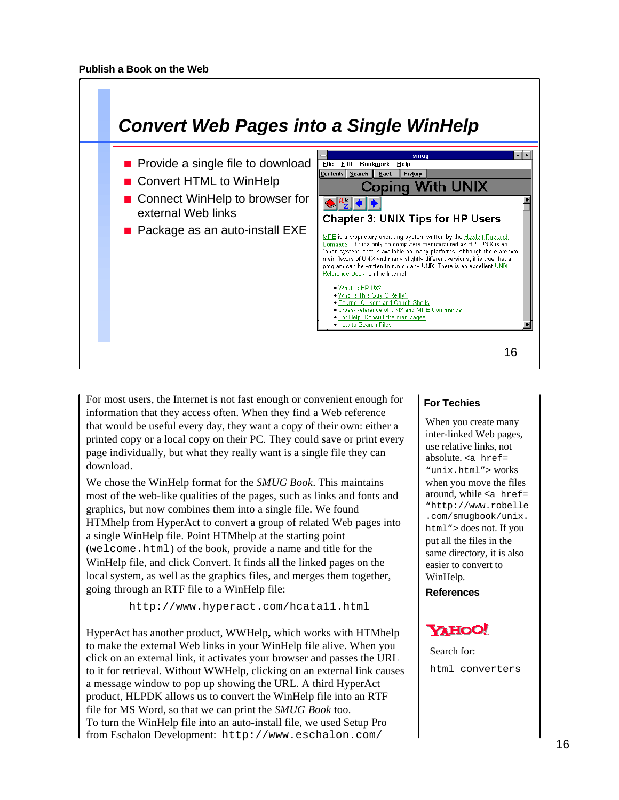

For most users, the Internet is not fast enough or convenient enough for information that they access often. When they find a Web reference that would be useful every day, they want a copy of their own: either a printed copy or a local copy on their PC. They could save or print every page individually, but what they really want is a single file they can download.

We chose the WinHelp format for the *SMUG Book*. This maintains most of the web-like qualities of the pages, such as links and fonts and graphics, but now combines them into a single file. We found HTMhelp from HyperAct to convert a group of related Web pages into a single WinHelp file. Point HTMhelp at the starting point (welcome.html) of the book, provide a name and title for the WinHelp file, and click Convert. It finds all the linked pages on the local system, as well as the graphics files, and merges them together, going through an RTF file to a WinHelp file:

http://www.hyperact.com/hcata11.html

HyperAct has another product, WWHelp**,** which works with HTMhelp to make the external Web links in your WinHelp file alive. When you click on an external link, it activates your browser and passes the URL to it for retrieval. Without WWHelp, clicking on an external link causes a message window to pop up showing the URL. A third HyperAct product, HLPDK allows us to convert the WinHelp file into an RTF file for MS Word, so that we can print the *SMUG Book* too. To turn the WinHelp file into an auto-install file, we used Setup Pro from Eschalon Development: http://www.eschalon.com/

## **For Techies**

When you create many inter-linked Web pages, use relative links, not absolute.  $\leq a$  href= "unix.html"> works when you move the files around, while  $\leq a$  href= "http://www.robelle .com/smugbook/unix. html"> does not. If you put all the files in the same directory, it is also easier to convert to WinHelp.

**References**

# **YAHOO!**

Search for: html converters